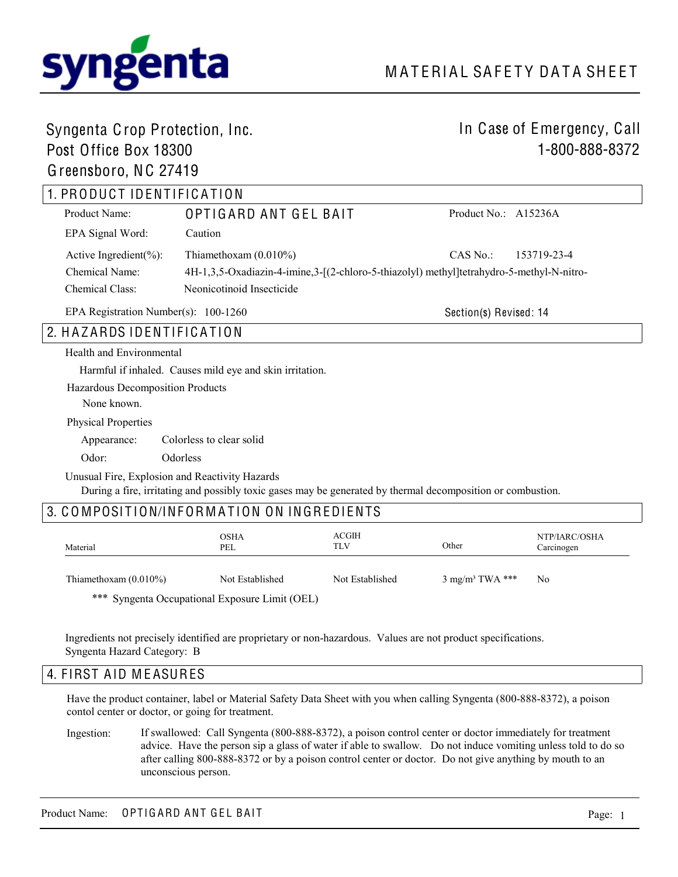

## Syngenta Crop Protection, Inc.

## Post Office Box 18300 Greensboro, NC 27419

# In Case of Emergency, Call 1-800-888-8372

# 1. PRODUCT IDENTIFICATION

| Product Name:               | OPTIGARD ANT GEL BAIT                                                                    | Product No.: A15236A |             |
|-----------------------------|------------------------------------------------------------------------------------------|----------------------|-------------|
| EPA Signal Word:            | Caution                                                                                  |                      |             |
| Active Ingredient $(\% )$ : | Thiamethoxam $(0.010\%)$                                                                 | CAS No.:             | 153719-23-4 |
| Chemical Name:              | 4H-1,3,5-Oxadiazin-4-imine,3-[(2-chloro-5-thiazolyl) methyl]tetrahydro-5-methyl-N-nitro- |                      |             |
| <b>Chemical Class:</b>      | Neonicotinoid Insecticide                                                                |                      |             |

EPA Registration Number(s): 100-1260

Section(s) Revised: 14

## 2. HAZARDS IDENTIFICATION

#### Health and Environmental

Harmful if inhaled. Causes mild eye and skin irritation.

Hazardous Decomposition Products

None known.

Physical Properties

Appearance: Colorless to clear solid

Odor: Odorless

Unusual Fire, Explosion and Reactivity Hazards

During a fire, irritating and possibly toxic gases may be generated by thermal decomposition or combustion.

## 3. COMPOSITION/INFORMATION ON INGREDIENTS

| Material                 | <b>OSHA</b><br>PEL | ACGIH<br>TLV    | Other                       | NTP/IARC/OSHA<br>Carcinogen |
|--------------------------|--------------------|-----------------|-----------------------------|-----------------------------|
| Thiamethoxam $(0.010\%)$ | Not Established    | Not Established | 3 mg/m <sup>3</sup> TWA *** | N <sub>0</sub>              |

\*\*\* Syngenta Occupational Exposure Limit (OEL)

Ingredients not precisely identified are proprietary or non-hazardous. Values are not product specifications. Syngenta Hazard Category: B

## 4. FIRST AID MEASURES

Have the product container, label or Material Safety Data Sheet with you when calling Syngenta (800-888-8372), a poison contol center or doctor, or going for treatment.

If swallowed: Call Syngenta (800-888-8372), a poison control center or doctor immediately for treatment advice. Have the person sip a glass of water if able to swallow. Do not induce vomiting unless told to do so after calling 800-888-8372 or by a poison control center or doctor. Do not give anything by mouth to an unconscious person. Ingestion: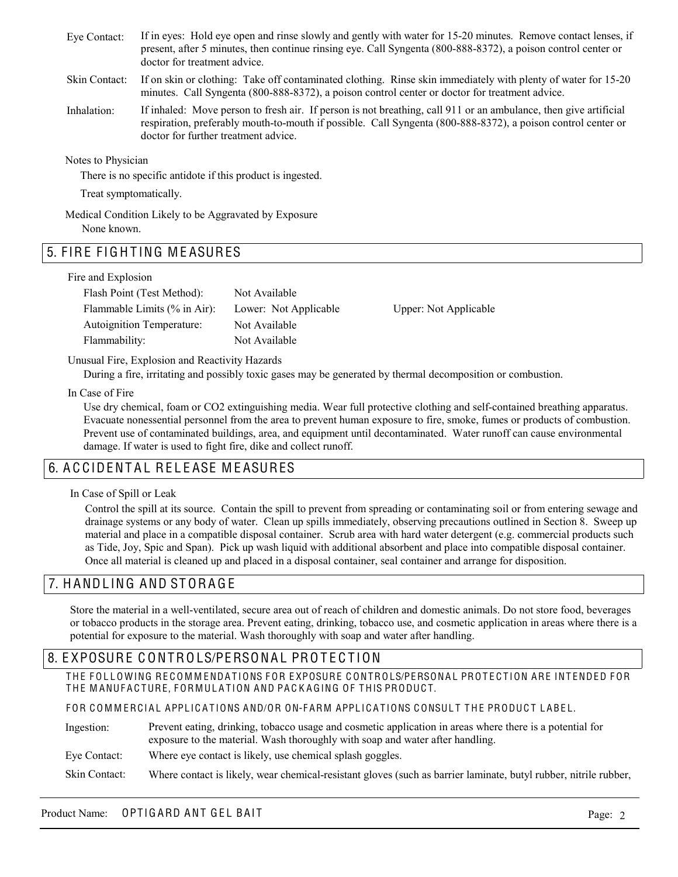- If in eyes: Hold eye open and rinse slowly and gently with water for 15-20 minutes. Remove contact lenses, if present, after 5 minutes, then continue rinsing eye. Call Syngenta (800-888-8372), a poison control center or doctor for treatment advice. Eye Contact:
- If on skin or clothing: Take off contaminated clothing. Rinse skin immediately with plenty of water for 15-20 minutes. Call Syngenta (800-888-8372), a poison control center or doctor for treatment advice. Skin Contact:
- If inhaled: Move person to fresh air. If person is not breathing, call 911 or an ambulance, then give artificial respiration, preferably mouth-to-mouth if possible. Call Syngenta (800-888-8372), a poison control center or doctor for further treatment advice. Inhalation:

Notes to Physician

There is no specific antidote if this product is ingested.

Treat symptomatically.

Medical Condition Likely to be Aggravated by Exposure None known.

### 5. FIRE FIGHTING MEASURES

#### Fire and Explosion

| Flash Point (Test Method):       | Not Available         |                       |
|----------------------------------|-----------------------|-----------------------|
| Flammable Limits $(\%$ in Air):  | Lower: Not Applicable | Upper: Not Applicable |
| <b>Autoignition Temperature:</b> | Not Available         |                       |
| Flammability:                    | Not Available         |                       |

#### Unusual Fire, Explosion and Reactivity Hazards

During a fire, irritating and possibly toxic gases may be generated by thermal decomposition or combustion.

In Case of Fire

Use dry chemical, foam or CO2 extinguishing media. Wear full protective clothing and self-contained breathing apparatus. Evacuate nonessential personnel from the area to prevent human exposure to fire, smoke, fumes or products of combustion. Prevent use of contaminated buildings, area, and equipment until decontaminated. Water runoff can cause environmental damage. If water is used to fight fire, dike and collect runoff.

## 6. A C CIDENTAL RELEASE MEASURES

In Case of Spill or Leak

Control the spill at its source. Contain the spill to prevent from spreading or contaminating soil or from entering sewage and drainage systems or any body of water. Clean up spills immediately, observing precautions outlined in Section 8. Sweep up material and place in a compatible disposal container. Scrub area with hard water detergent (e.g. commercial products such as Tide, Joy, Spic and Span). Pick up wash liquid with additional absorbent and place into compatible disposal container. Once all material is cleaned up and placed in a disposal container, seal container and arrange for disposition.

### 7. H ANDL ING AND ST ORA G E

Store the material in a well-ventilated, secure area out of reach of children and domestic animals. Do not store food, beverages or tobacco products in the storage area. Prevent eating, drinking, tobacco use, and cosmetic application in areas where there is a potential for exposure to the material. Wash thoroughly with soap and water after handling.

### 8. EXPOSURE CONTROLS/PERSONAL PROTECTION

THE FOLLOWING RECOMMENDATIONS FOR EXPOSURE CONTROLS/PERSONAL PROTECTION ARE INTENDED FOR THE MANUFACTURE, FORMULATION AND PACKAGING OF THIS PRODUCT.

FOR COMMERCIAL APPLICATIONS AND/OR ON-FARM APPLICATIONS CONSULT THE PRODUCT LABEL.

- Prevent eating, drinking, tobacco usage and cosmetic application in areas where there is a potential for exposure to the material. Wash thoroughly with soap and water after handling. Ingestion:
- Where eye contact is likely, use chemical splash goggles. Eye Contact:

Where contact is likely, wear chemical-resistant gloves (such as barrier laminate, butyl rubber, nitrile rubber, Skin Contact:

#### Product Name: OPTIGARD ANT GEL BAIT AND ALL AND ANY ONLY A PAGE: 2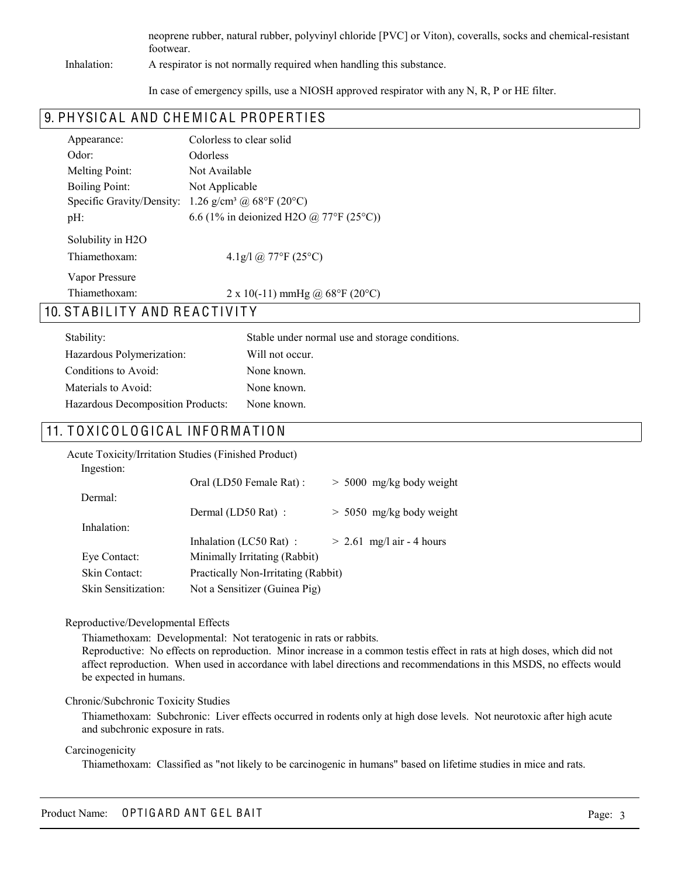neoprene rubber, natural rubber, polyvinyl chloride [PVC] or Viton), coveralls, socks and chemical-resistant footwear.

#### Inhalation:

A respirator is not normally required when handling this substance.

In case of emergency spills, use a NIOSH approved respirator with any N, R, P or HE filter.

### 9. PHYSICAL AND CHEMICAL PROPERTIES

| Appearance:                                        | Colorless to clear solid                            |  |  |
|----------------------------------------------------|-----------------------------------------------------|--|--|
| Odor:                                              | <b>Odorless</b>                                     |  |  |
| Melting Point:                                     | Not Available                                       |  |  |
| <b>Boiling Point:</b>                              | Not Applicable                                      |  |  |
| Specific Gravity/Density:                          | 1.26 g/cm <sup>3</sup> @ 68°F (20°C)                |  |  |
| $pH$ :                                             | 6.6 (1% in deionized H2O @ 77°F (25°C))             |  |  |
| Solubility in H <sub>2</sub> O                     |                                                     |  |  |
| Thiamethoxam:                                      | 4.1g/l @ 77°F (25°C)                                |  |  |
| Vapor Pressure                                     |                                                     |  |  |
| Thiamethoxam:                                      | 2 x 10(-11) mmHg @ $68^{\circ}$ F (20 $^{\circ}$ C) |  |  |
| A N D R F A C T I VI T V<br>ST A RII<br><b>ITV</b> |                                                     |  |  |

## 10. STABILITY AND REACTIVITY

| Stability:                        | Stable under normal use and storage conditions. |
|-----------------------------------|-------------------------------------------------|
| Hazardous Polymerization:         | Will not occur.                                 |
| Conditions to Avoid:              | None known.                                     |
| Materials to Avoid:               | None known.                                     |
| Hazardous Decomposition Products: | None known.                                     |

### 11. TOXICOLOGICAL INFORMATION

|                     | <b>Acute Toxicity/Irritation Studies (Finished Product)</b> |                             |
|---------------------|-------------------------------------------------------------|-----------------------------|
| Ingestion:          |                                                             |                             |
|                     | Oral (LD50 Female Rat):                                     | $> 5000$ mg/kg body weight  |
| Dermal:             |                                                             |                             |
|                     | Dermal (LD50 Rat) :                                         | $> 5050$ mg/kg body weight  |
| Inhalation:         |                                                             |                             |
|                     | Inhalation (LC50 Rat):                                      | $> 2.61$ mg/l air - 4 hours |
| Eye Contact:        | Minimally Irritating (Rabbit)                               |                             |
| Skin Contact:       | Practically Non-Irritating (Rabbit)                         |                             |
| Skin Sensitization: | Not a Sensitizer (Guinea Pig)                               |                             |

#### Reproductive/Developmental Effects

Thiamethoxam: Developmental: Not teratogenic in rats or rabbits.

Reproductive: No effects on reproduction. Minor increase in a common testis effect in rats at high doses, which did not affect reproduction. When used in accordance with label directions and recommendations in this MSDS, no effects would be expected in humans.

#### Chronic/Subchronic Toxicity Studies

Thiamethoxam: Subchronic: Liver effects occurred in rodents only at high dose levels. Not neurotoxic after high acute and subchronic exposure in rats.

#### Carcinogenicity

Thiamethoxam: Classified as "not likely to be carcinogenic in humans" based on lifetime studies in mice and rats.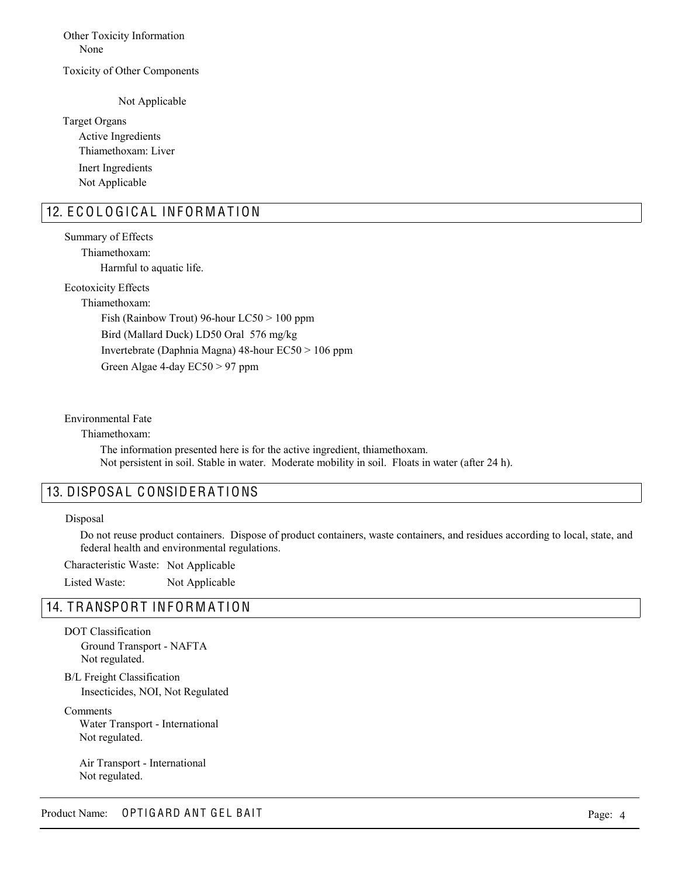Other Toxicity Information None

#### Toxicity of Other Components

Not Applicable

Target Organs Active Ingredients Inert Ingredients Thiamethoxam: Liver Not Applicable

### 12. ECOLOGICAL INFORMATION

Summary of Effects Harmful to aquatic life. Thiamethoxam:

Ecotoxicity Effects

Thiamethoxam: Fish (Rainbow Trout) 96-hour LC50 > 100 ppm Bird (Mallard Duck) LD50 Oral 576 mg/kg Invertebrate (Daphnia Magna) 48-hour EC50 > 106 ppm Green Algae 4-day EC50 > 97 ppm

Environmental Fate

Thiamethoxam:

The information presented here is for the active ingredient, thiamethoxam. Not persistent in soil. Stable in water. Moderate mobility in soil. Floats in water (after 24 h).

### 13. DISPOSAL CONSIDERATIONS

#### Disposal

Do not reuse product containers. Dispose of product containers, waste containers, and residues according to local, state, and federal health and environmental regulations.

Characteristic Waste: Not Applicable

Listed Waste: Not Applicable

### 14. TRANSPORT INFORMATION

DOT Classification Ground Transport - NAFTA Not regulated.

B/L Freight Classification Insecticides, NOI, Not Regulated

Comments Water Transport - International Not regulated.

Air Transport - International Not regulated.